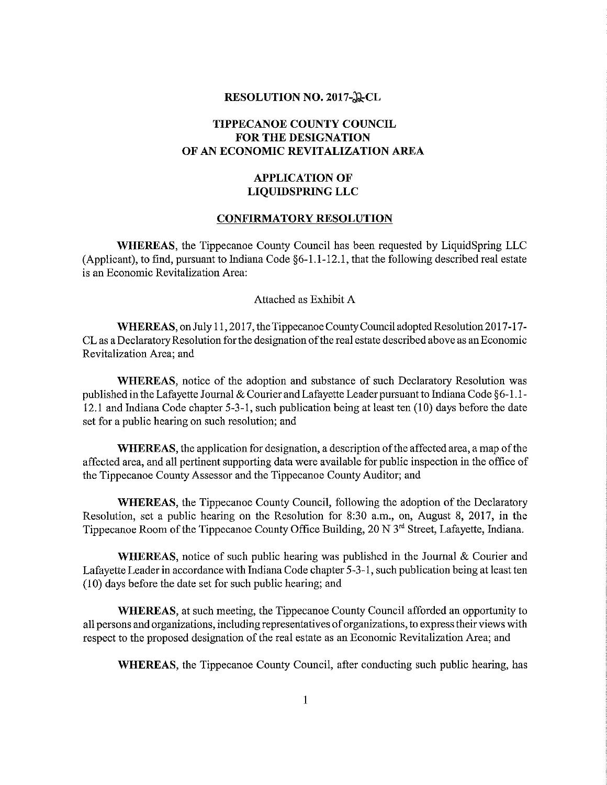### RESOLUTION NO. 2017-ACL

# TIPPECANOE COUNTY COUNCIL FOR THE DESIGNATION OF AN ECONOMIC REVITALIZATION AREA

## APPLICATION OF LIQUIDSPRING LLC

### CONFIRMATORY RESOLUTION

WHEREAS, the Tippecanoe County Council has been requested by LiquidSpring LLC (Applicant), to find, pursuant to Indiana Code §6-l.l-12.l, that the following described real estate is an Economic Revitalization Area:

Attached as Exhibit A

WHEREAS, on July I l, 2017, the Tippecanoe County Council adopted Resolution 2017-17- CL as <sup>a</sup> Declaratory Resolution forthe designation ofthe real estate described above as an Economic Revitalization Area; and

WHEREAS, notice of the adoption and substance of such Declaratory Resolution was published in the Lafayette Journal & Courier and Lafayette Leader pursuant to Indiana Code  $\S6-1.1-$ 12.1 and Indiana Code chapter 5—3—1, such publication being at least ten (10) days before the date set for <sup>a</sup> public hearing on such resolution; and

WHEREAS, the application for designation, a description of the affected area, a map of the affected area, and all pertinent supporting data were available for public inspection in the office of the Tippecanoe County Assessor and the Tippecanoe County Auditor; and

WHEREAS, the Tippecanoe County Council, following the adoption of the Declaratory Resolution, set a public hearing on the Resolution for 8:30 a.m., on, August 8, 2017, in the Tippecanoe Room of the Tippecanoe County Office Building, 20 N 3<sup>rd</sup> Street, Lafayette, Indiana.

WHEREAS, notice of such public hearing was published in the Journal & Courier and Lafayette Leader in accordance with Indiana Code chapter 5~3~ 1 , such publication being at least ten (10) days before the date set for such public hearing; and

WHEREAS, at such meeting, the Tippecanoe County Council afforded an opportunity to all persons and organizations, including representatives oforganizations, to express their views with respect to the proposed designation of the real estate as an Economic Revitalization Area; and

WHEREAS, the Tippecanoe County Council, after conducting such public hearing, has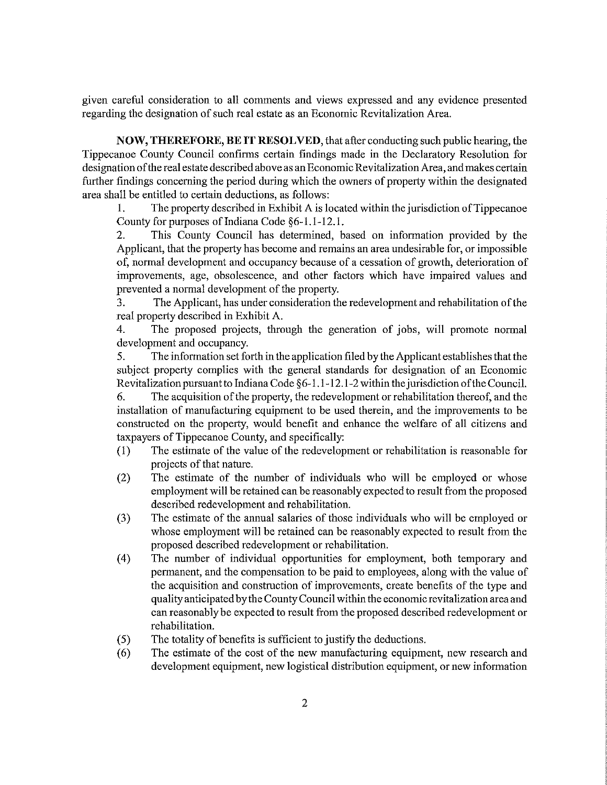given careful consideration to all comments and views expressed and any evidence presented regarding the designation of such real estate as an Economic Revitalization Area.

NOW, THEREFORE, BE IT RESOLVED, that after conducting such public hearing, the Tippecanoe County Council confirms certain findings made in the Declaratory Resolution for designation ofthe real estate described above as an Economic Revitalization Area, and makes certain finther findings concerning the period during which the owners of property within the designated area shall be entitled to certain deductions, as follows:

1. The property described in Exhibit A is located within the jurisdiction of Tippecanoe County for purposes of Indiana Code §6-l.i-12.l.

2. This County Council has determined, based on information provided by the Applicant, that the property has become and remains an area undesirable for, or impossible of, normal development and occupancy because of <sup>a</sup> cessation of growth, deterioration of improvements, age, obsolescence, and other factors which have impaired values and prevented <sup>a</sup> normal development of the property.

3. The Applicant, has under consideration the redevelopment and rehabilitation ofthe real property described in Exhibit A.

4. The proposed projects, through the generation of jobs, will promote normal development and occupancy.

5. The information set forth in the application filed by the Applicant establishes that the subject property complies with the general standards for designation of an Economic Revitalization pursuant to Indiana Code  $\S6-1.1-12.1-2$  within the jurisdiction of the Council.

6. The acquisition ofthe property, the redevelopment or rehabilitation thereof, and the installation of manufacturing equipment to be used therein, and the improvements to be constructed on the property, would benefit and enhance the welfare of all citizens and taxpayers of Tippecanoe County, and specifically:

- (l) The estimate of the value of the redevelopment or rehabilitation is reasonable for projects of that nature.
- (2) The estimate of the number of individuals who will be employed or whose employment will be retained can be reasonably expected to result from the proposed described redevelopment and rehabilitation.
- (3) The estimate of the annual salaries of those individuals who will be employed or whose employment will be retained can be reasonably expected to result from the proposed described redevelopment or rehabilitation.
- (4) The number of individual opportunities for employment, both temporary and permanent, and the compensation to be paid to employees, along with the value of the acquisition and construction of improvements, create benefits of the type and quality anticipated by the County Council within the economic revitalization area and can reasonably be expected to result from the proposed described redevelopment or rehabilitation.
- (5) The totality of benefits is sufficient to justify the deductions.
- (6) The estimate of the costof the new manufacturing equipment, new research and development equipment, new logistical distribution equipment, or new information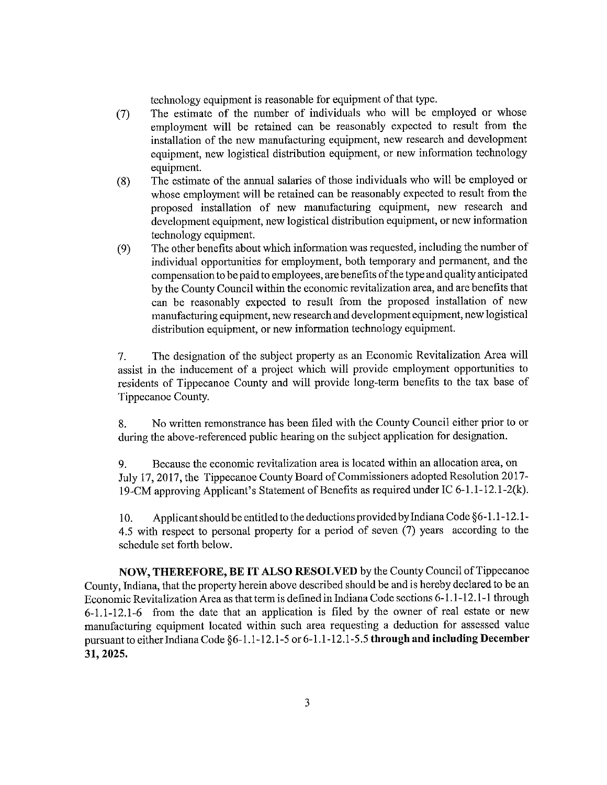technology equipment is reasonable for equipment of that type.

- (7) The estimate of the number of individuals who will be employed or whose employment will be retained can be reasonably expected to result from the installation of the new manufacturing equipment, new research and development equipment, new logistical distribution equipment, or new information technology equipment.
- (8) The estimate of the annual salaries of those individuals who will be employed or whose employment will be retained can be reasonably expected to result from the proposed installation of new manufacturing equipment, new research and development equipment, new logistical distribution equipment, or new information technology equipment.
- (9) The other benefits about which information was requested, including the number of individual opportunities for employment, both temporary and permanent, and the compensation to be paid to employees, are benefits ofthe type and quality anticipated by the County Council within the economic revitalization area, and are benefits that can be reasonably expected to result from the proposed installation of new manufacturing equipment, new research and development equipment, new logistical distribution equipment, or new information technology equipment.

7. The designation of the subject property as an Economic Revitalization Area will assist in the inducement of <sup>a</sup> project which will provide employment opportunities to residents of Tippecanoe County and will provide long-term benefits to the tax base of Tippecanoe County.

8. No written remonstrance has been filed with the County Council either prior to or during the above-referenced public hearing on the subject application for designation.

9. Because the economic revitalization area is located within an allocation area, on July 17, 2017, the Tippecanoe County Board of Commissioners adopted Resolution 2017— 19-CM approving Applicant's Statement of Benefits as required under IC 6-1.1-12.1-2(k).

10. Applicant should be entitled to the deductions provided by Indiana Code  $\S6-1.1-12.1-$ 4.5 with respect to persona<sup>l</sup> property for <sup>a</sup> period of seven (7) years according to the schedule set forth below.

NOW, THEREFORE, BE IT ALSO RESOLVED by the County Council ofTippecanoe County, Indiana, that the property herein above described should be and is hereby declared to be an Economic Revitalization Area as that term is defined in Indiana Code sections 6-1 .1—12.l—1 through  $6-1.1-12.1-6$  from the date that an application is filed by the owner of real estate or new manufacturing equipment located within such area requesting a deduction for assessed value pursuant to either Indiana Code §6-1.1-12.1-5 or 6-1.1-12.1-5.5 through and including December 31, 2025.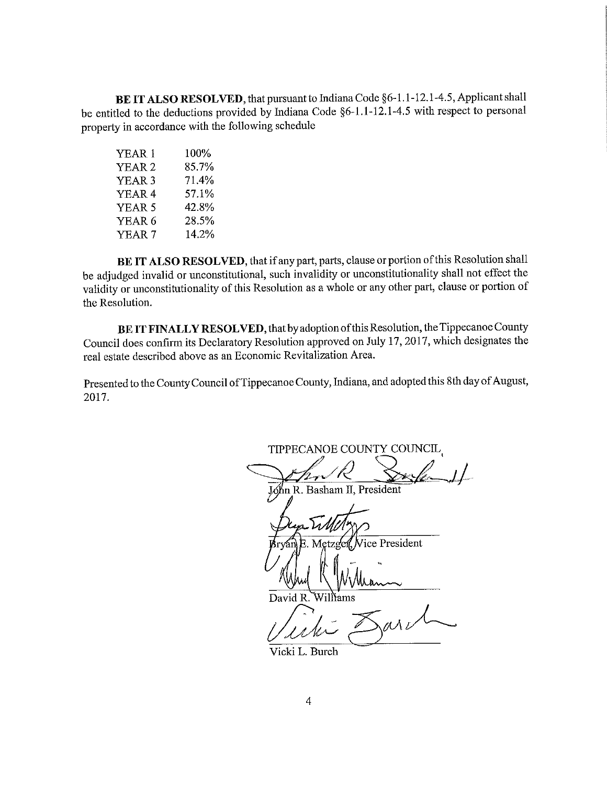BE IT ALSO RESOLVED, that pursuant to Indiana Code §6-1.1-12.1-4.5, Applicant shall be entitled to the deductions provided by Indiana Code §6—1.l-12.l—4.5 with respect to persona<sup>l</sup> property in accordance with the following schedule

| YEAR 1            | 100%  |  |
|-------------------|-------|--|
| YEAR 2            | 85.7% |  |
| YEAR 3            | 71.4% |  |
| YEAR 4            | 57.1% |  |
| YEAR 5            | 42.8% |  |
| YEAR 6            | 28.5% |  |
| YEAR <sub>7</sub> | 14.2% |  |
|                   |       |  |

BE IT ALSO RESOLVED, that if any part, parts, clause or portion of this Resolution shall be adjudged invalid or unconstitutional, such invalidity or unconstitutionality shall not effect the validity or unconstitutionality of this Resolution as <sup>a</sup> Whole or any other part, clause or portion of the Resolution.

BE IT FINALLY RESOLVED, that by adoption of this Resolution, the Tippecanoe County Council does confirm its Declaratory Resolution approved on July 17, 2017, which designates the real estate described above as an Economic Revitalization Area.

Presented to the County Council of Tippecanoe County, Indiana, and adopted this 8th day of August, 2017.

TIPPECANOE COUNTY COUNCIL Jóhn R. Basham II, President Filtelys ice President Nillianne David R. Williams

Vicki L. Burch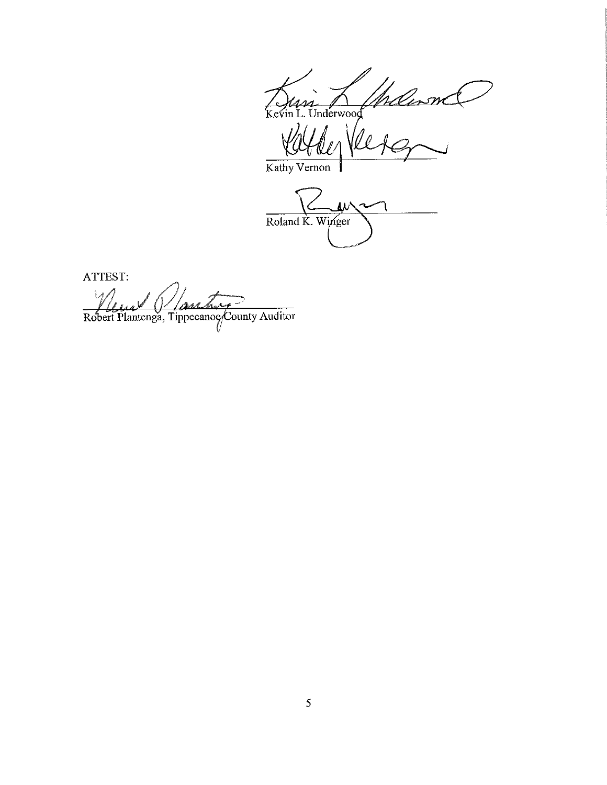Maland  $\frac{1}{k}$ Underwood

Kathy Vernon

Roland K. Winger

ATTEST:

rbr. Robert Plantenga, Tippecanoe County Auditor